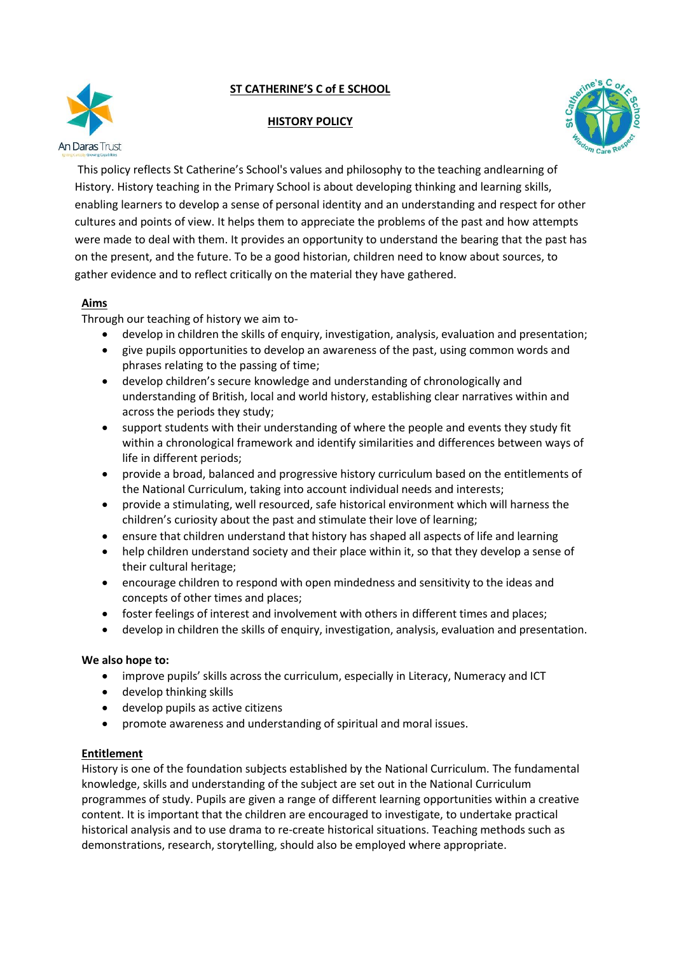# **ST CATHERINE'S C of E SCHOOL**



#### **HISTORY POLICY**



This policy reflects St Catherine's School's values and philosophy to the teaching andlearning of History. History teaching in the Primary School is about developing thinking and learning skills, enabling learners to develop a sense of personal identity and an understanding and respect for other cultures and points of view. It helps them to appreciate the problems of the past and how attempts were made to deal with them. It provides an opportunity to understand the bearing that the past has on the present, and the future. To be a good historian, children need to know about sources, to gather evidence and to reflect critically on the material they have gathered.

## **Aims**

Through our teaching of history we aim to-

- develop in children the skills of enquiry, investigation, analysis, evaluation and presentation;
- give pupils opportunities to develop an awareness of the past, using common words and phrases relating to the passing of time;
- develop children's secure knowledge and understanding of chronologically and understanding of British, local and world history, establishing clear narratives within and across the periods they study;
- support students with their understanding of where the people and events they study fit within a chronological framework and identify similarities and differences between ways of life in different periods;
- provide a broad, balanced and progressive history curriculum based on the entitlements of the National Curriculum, taking into account individual needs and interests;
- provide a stimulating, well resourced, safe historical environment which will harness the children's curiosity about the past and stimulate their love of learning;
- ensure that children understand that history has shaped all aspects of life and learning
- help children understand society and their place within it, so that they develop a sense of their cultural heritage;
- encourage children to respond with open mindedness and sensitivity to the ideas and concepts of other times and places;
- foster feelings of interest and involvement with others in different times and places;
- develop in children the skills of enquiry, investigation, analysis, evaluation and presentation.

#### **We also hope to:**

- improve pupils' skills across the curriculum, especially in Literacy, Numeracy and ICT
- develop thinking skills
- develop pupils as active citizens
- promote awareness and understanding of spiritual and moral issues.

#### **Entitlement**

History is one of the foundation subjects established by the National Curriculum. The fundamental knowledge, skills and understanding of the subject are set out in the National Curriculum programmes of study. Pupils are given a range of different learning opportunities within a creative content. It is important that the children are encouraged to investigate, to undertake practical historical analysis and to use drama to re-create historical situations. Teaching methods such as demonstrations, research, storytelling, should also be employed where appropriate.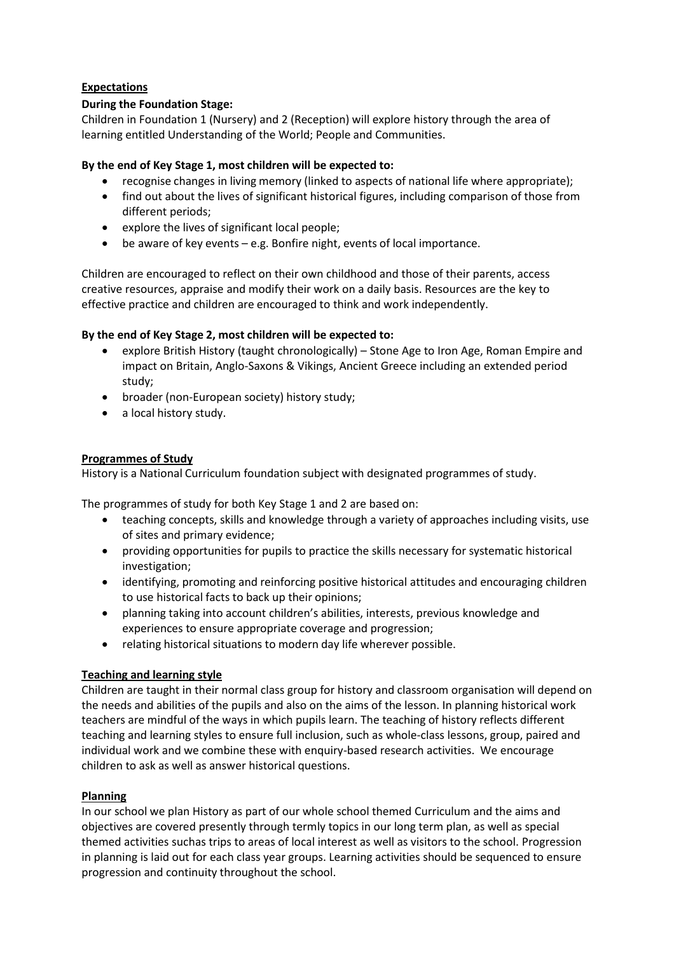# **Expectations**

## **During the Foundation Stage:**

Children in Foundation 1 (Nursery) and 2 (Reception) will explore history through the area of learning entitled Understanding of the World; People and Communities.

#### **By the end of Key Stage 1, most children will be expected to:**

- recognise changes in living memory (linked to aspects of national life where appropriate);
- find out about the lives of significant historical figures, including comparison of those from different periods;
- explore the lives of significant local people;
- be aware of key events e.g. Bonfire night, events of local importance.

Children are encouraged to reflect on their own childhood and those of their parents, access creative resources, appraise and modify their work on a daily basis. Resources are the key to effective practice and children are encouraged to think and work independently.

#### **By the end of Key Stage 2, most children will be expected to:**

- explore British History (taught chronologically) Stone Age to Iron Age, Roman Empire and impact on Britain, Anglo-Saxons & Vikings, Ancient Greece including an extended period study;
- broader (non-European society) history study;
- a local history study.

#### **Programmes of Study**

History is a National Curriculum foundation subject with designated programmes of study.

The programmes of study for both Key Stage 1 and 2 are based on:

- teaching concepts, skills and knowledge through a variety of approaches including visits, use of sites and primary evidence;
- providing opportunities for pupils to practice the skills necessary for systematic historical investigation;
- identifying, promoting and reinforcing positive historical attitudes and encouraging children to use historical facts to back up their opinions;
- planning taking into account children's abilities, interests, previous knowledge and experiences to ensure appropriate coverage and progression;
- relating historical situations to modern day life wherever possible.

## **Teaching and learning style**

Children are taught in their normal class group for history and classroom organisation will depend on the needs and abilities of the pupils and also on the aims of the lesson. In planning historical work teachers are mindful of the ways in which pupils learn. The teaching of history reflects different teaching and learning styles to ensure full inclusion, such as whole-class lessons, group, paired and individual work and we combine these with enquiry-based research activities. We encourage children to ask as well as answer historical questions.

## **Planning**

In our school we plan History as part of our whole school themed Curriculum and the aims and objectives are covered presently through termly topics in our long term plan, as well as special themed activities suchas trips to areas of local interest as well as visitors to the school. Progression in planning is laid out for each class year groups. Learning activities should be sequenced to ensure progression and continuity throughout the school.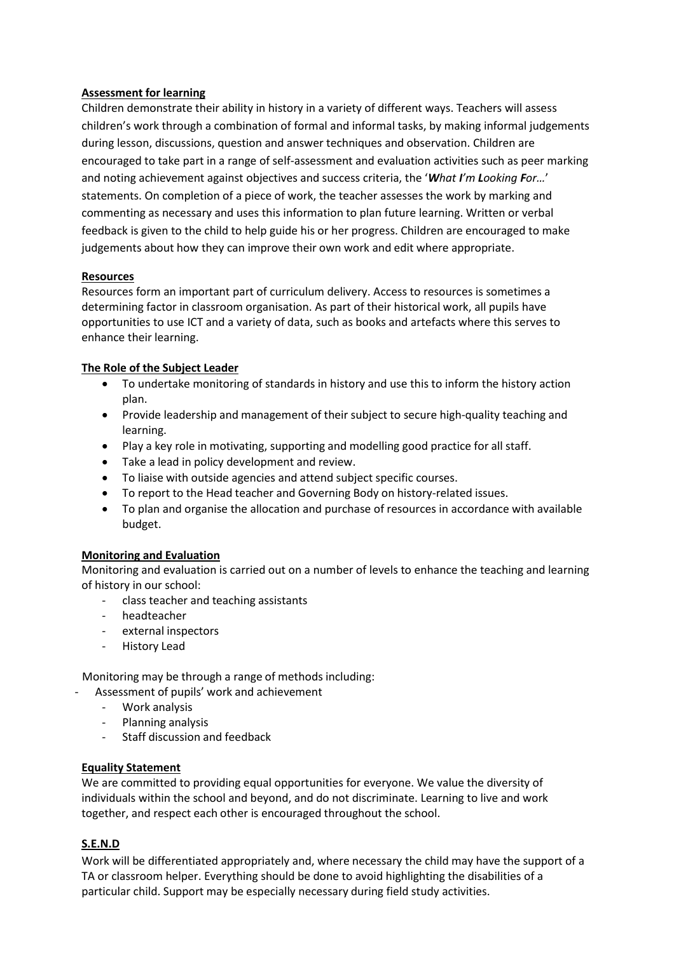#### **Assessment for learning**

Children demonstrate their ability in history in a variety of different ways. Teachers will assess children's work through a combination of formal and informal tasks, by making informal judgements during lesson, discussions, question and answer techniques and observation. Children are encouraged to take part in a range of self-assessment and evaluation activities such as peer marking and noting achievement against objectives and success criteria, the '*What I'm Looking For…*' statements. On completion of a piece of work, the teacher assesses the work by marking and commenting as necessary and uses this information to plan future learning. Written or verbal feedback is given to the child to help guide his or her progress. Children are encouraged to make judgements about how they can improve their own work and edit where appropriate.

#### **Resources**

Resources form an important part of curriculum delivery. Access to resources is sometimes a determining factor in classroom organisation. As part of their historical work, all pupils have opportunities to use ICT and a variety of data, such as books and artefacts where this serves to enhance their learning.

## **The Role of the Subject Leader**

- To undertake monitoring of standards in history and use this to inform the history action plan.
- Provide leadership and management of their subject to secure high-quality teaching and learning.
- Play a key role in motivating, supporting and modelling good practice for all staff.
- Take a lead in policy development and review.
- To liaise with outside agencies and attend subject specific courses.
- To report to the Head teacher and Governing Body on history-related issues.
- To plan and organise the allocation and purchase of resources in accordance with available budget.

## **Monitoring and Evaluation**

Monitoring and evaluation is carried out on a number of levels to enhance the teaching and learning of history in our school:

- class teacher and teaching assistants
- headteacher
- external inspectors
- History Lead

Monitoring may be through a range of methods including:

- Assessment of pupils' work and achievement
	- Work analysis
	- Planning analysis
	- Staff discussion and feedback

## **Equality Statement**

We are committed to providing equal opportunities for everyone. We value the diversity of individuals within the school and beyond, and do not discriminate. Learning to live and work together, and respect each other is encouraged throughout the school.

## **S.E.N.D**

Work will be differentiated appropriately and, where necessary the child may have the support of a TA or classroom helper. Everything should be done to avoid highlighting the disabilities of a particular child. Support may be especially necessary during field study activities.